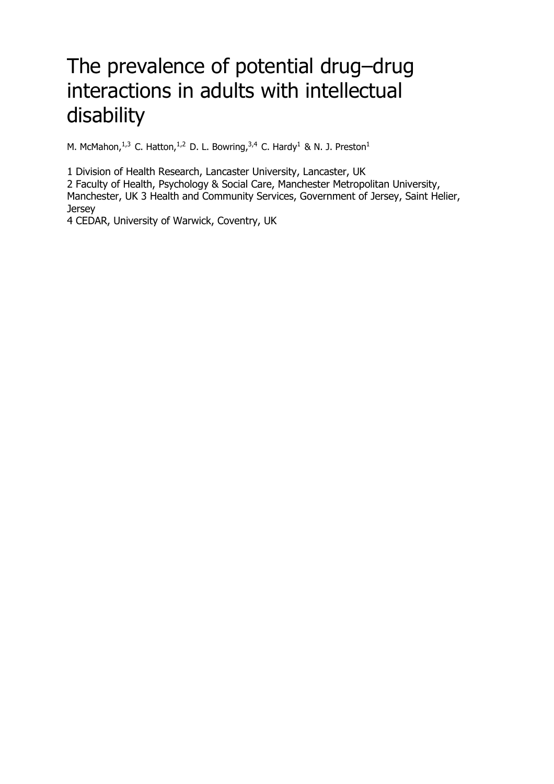# The prevalence of potential drug–drug interactions in adults with intellectual disability

M. McMahon,  $1,3$  C. Hatton,  $1,2$  D. L. Bowring,  $3,4$  C. Hardy<sup>1</sup> & N. J. Preston<sup>1</sup>

1 Division of Health Research, Lancaster University, Lancaster, UK

2 Faculty of Health, Psychology & Social Care, Manchester Metropolitan University, Manchester, UK 3 Health and Community Services, Government of Jersey, Saint Helier, **Jersey** 

4 CEDAR, University of Warwick, Coventry, UK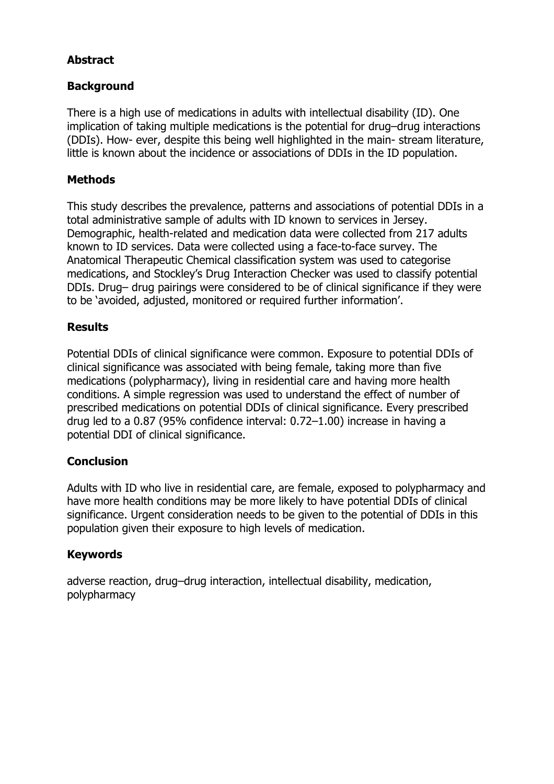# **Abstract**

# **Background**

There is a high use of medications in adults with intellectual disability (ID). One implication of taking multiple medications is the potential for drug–drug interactions (DDIs). How- ever, despite this being well highlighted in the main- stream literature, little is known about the incidence or associations of DDIs in the ID population.

## **Methods**

This study describes the prevalence, patterns and associations of potential DDIs in a total administrative sample of adults with ID known to services in Jersey. Demographic, health-related and medication data were collected from 217 adults known to ID services. Data were collected using a face-to-face survey. The Anatomical Therapeutic Chemical classification system was used to categorise medications, and Stockley's Drug Interaction Checker was used to classify potential DDIs. Drug– drug pairings were considered to be of clinical significance if they were to be 'avoided, adjusted, monitored or required further information'.

## **Results**

Potential DDIs of clinical significance were common. Exposure to potential DDIs of clinical significance was associated with being female, taking more than five medications (polypharmacy), living in residential care and having more health conditions. A simple regression was used to understand the effect of number of prescribed medications on potential DDIs of clinical significance. Every prescribed drug led to a 0.87 (95% confidence interval: 0.72–1.00) increase in having a potential DDI of clinical significance.

#### **Conclusion**

Adults with ID who live in residential care, are female, exposed to polypharmacy and have more health conditions may be more likely to have potential DDIs of clinical significance. Urgent consideration needs to be given to the potential of DDIs in this population given their exposure to high levels of medication.

#### **Keywords**

adverse reaction, drug–drug interaction, intellectual disability, medication, polypharmacy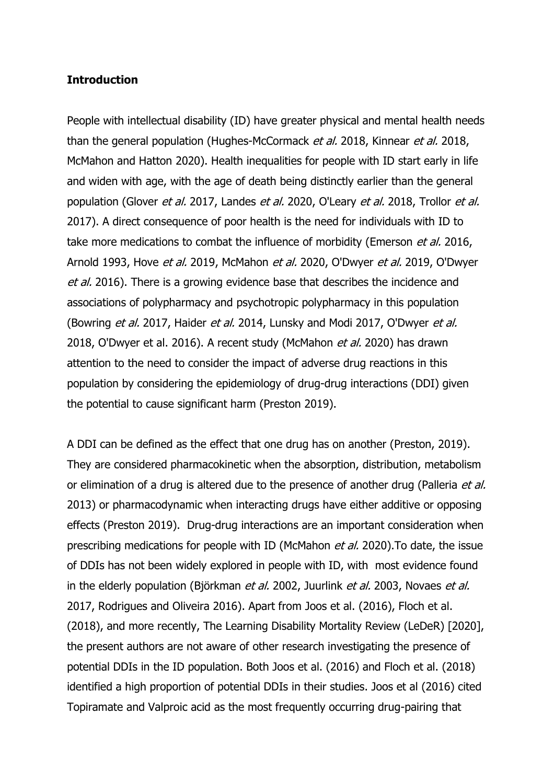#### **Introduction**

People with intellectual disability (ID) have greater physical and mental health needs than the general population [\(Hughes-McCormack](#page-17-0) et al. 2018, [Kinnear](#page-17-1) et al. 2018, [McMahon](#page-17-2) and Hatton 2020). Health inequalities for people with ID start early in life and widen with age, with the age of death being distinctly earlier than the general population [\(Glover](#page-16-0) et al. 2017, [Landes](#page-17-3) et al. 2020, [O'Leary](#page-18-0) et al. 2018, [Trollor](#page-18-1) et al. [2017\)](#page-18-1). A direct consequence of poor health is the need for individuals with ID to take more medications to combat the influence of morbidity [\(Emerson](#page-16-1) et al. 2016, [Arnold](#page-16-2) 1993, Hove et al. [2019,](#page-16-3) [McMahon](#page-17-4) et al. 2020, [O'Dwyer](#page-18-3) et al. 2019, O'Dwyer et al. [2016\)](#page-18-3). There is a growing evidence base that describes the incidence and associations of polypharmacy and psychotropic polypharmacy in this population [\(Bowring](#page-16-4) et al. 2017, [Haider](#page-16-5) et al. 2014, [Lunsky](#page-17-5) and Modi 2017, [O'Dwyer](#page-18-4) et al. [2018,](#page-18-4) [O'Dwyer](#page-18-3) et al. 2016). A recent study (McMahon et al. 2020) has drawn attention to the need to consider the impact of adverse drug reactions in this population by considering the epidemiology of drug-drug interactions (DDI) given the potential to cause significant harm [\(Preston](#page-18-5) 2019).

A DDI can be defined as the effect that one drug has on another (Preston, 2019). They are considered pharmacokinetic when the absorption, distribution, metabolism or elimination of a drug is altered due to the presence of another drug [\(Palleria](#page-18-6) et al. [2013\)](#page-18-6) or pharmacodynamic when interacting drugs have either additive or opposing effects [\(Preston](#page-18-5) 2019). Drug-drug interactions are an important consideration when prescribing medications for people with ID (McMahon *et al.* 2020). To date, the issue of DDIs has not been widely explored in people with ID, with most evidence found in the elderly population [\(Björkman](#page-16-6) et al. 2002, [Juurlink](#page-17-6) et al. 2003, [Novaes](#page-18-7) et al. [2017,](#page-18-7) [Rodrigues](#page-18-8) and Oliveira 2016). Apart from Joos et al. (2016), Floch et al. (2018), and more recently, The Learning Disability Mortality Review (LeDeR) [2020], the present authors are not aware of other research investigating the presence of potential DDIs in the ID population. Both Joos et al. (2016) and Floch et al. (2018) identified a high proportion of potential DDIs in their studies. Joos et al (2016) cited Topiramate and Valproic acid as the most frequently occurring drug-pairing that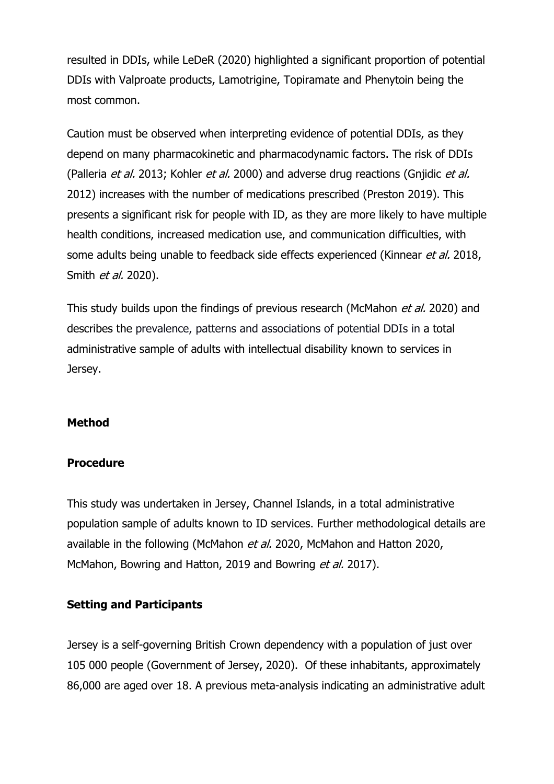resulted in DDIs, while LeDeR (2020) highlighted a significant proportion of potential DDIs with Valproate products, Lamotrigine, Topiramate and Phenytoin being the most common.

Caution must be observed when interpreting evidence of potential DDIs, as they depend on many pharmacokinetic and pharmacodynamic factors. The risk of DDIs (Palleria et al. 2013; Kohler et al. 2000) and adverse drug reactions (Gnjidic et al. 2012) increases with the number of medications prescribed [\(Preston 2019\)](#page-18-5). This presents a significant risk for people with ID, as they are more likely to have multiple health conditions, increased medication use, and communication difficulties, with some adults being unable to feedback side effects experienced (Kinnear et al. 2018, Smith *et al.* 2020).

This study builds upon the findings of previous research (McMahon et al. 2020) and describes the prevalence, patterns and associations of potential DDIs in a total administrative sample of adults with intellectual disability known to services in Jersey.

# **Method**

#### **Procedure**

This study was undertaken in Jersey, Channel Islands, in a total administrative population sample of adults known to ID services. Further methodological details are available in the following (McMahon et al. 2020, McMahon and Hatton 2020, McMahon, Bowring and Hatton, 2019 and Bowring et al. 2017).

#### **Setting and Participants**

Jersey is a self-governing British Crown dependency with a population of just over 105 000 people (Government of Jersey, 2020). Of these inhabitants, approximately 86,000 are aged over 18. A previous meta-analysis indicating an administrative adult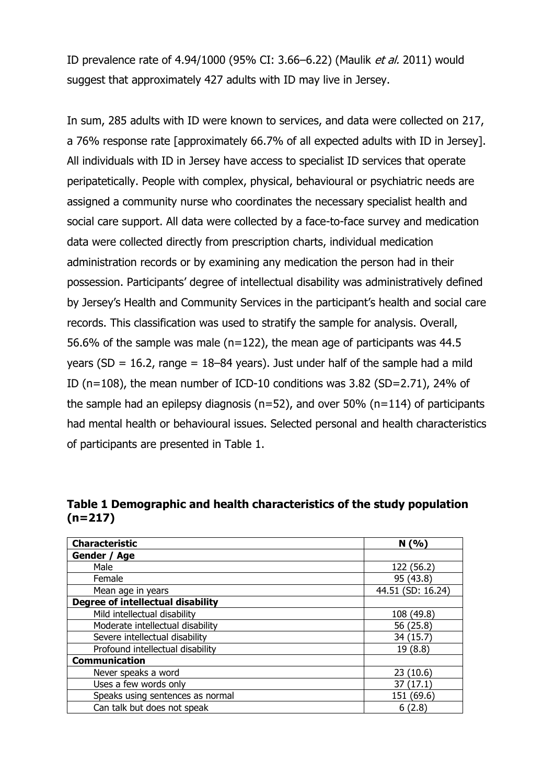ID prevalence rate of 4.94/1000 (95% CI: 3.66–6.22) [\(Maulik](#page-17-7) et al. 2011) would suggest that approximately 427 adults with ID may live in Jersey.

In sum, 285 adults with ID were known to services, and data were collected on 217, a 76% response rate [approximately 66.7% of all expected adults with ID in Jersey]. All individuals with ID in Jersey have access to specialist ID services that operate peripatetically. People with complex, physical, behavioural or psychiatric needs are assigned a community nurse who coordinates the necessary specialist health and social care support. All data were collected by a face-to-face survey and medication data were collected directly from prescription charts, individual medication administration records or by examining any medication the person had in their possession. Participants' degree of intellectual disability was administratively defined by Jersey's Health and Community Services in the participant's health and social care records. This classification was used to stratify the sample for analysis. Overall, 56.6% of the sample was male ( $n=122$ ), the mean age of participants was 44.5 years (SD = 16.2, range =  $18-84$  years). Just under half of the sample had a mild ID (n=108), the mean number of ICD-10 conditions was 3.82 (SD=2.71), 24% of the sample had an epilepsy diagnosis ( $n=52$ ), and over 50% ( $n=114$ ) of participants had mental health or behavioural issues. Selected personal and health characteristics of participants are presented in Table 1.

**Table 1 Demographic and health characteristics of the study population (n=217)**

| <b>Characteristic</b>             | N(96)             |
|-----------------------------------|-------------------|
| Gender / Age                      |                   |
| Male                              | 122 (56.2)        |
| Female                            | 95 (43.8)         |
| Mean age in years                 | 44.51 (SD: 16.24) |
| Degree of intellectual disability |                   |
| Mild intellectual disability      | 108 (49.8)        |
| Moderate intellectual disability  | 56 (25.8)         |
| Severe intellectual disability    | 34 (15.7)         |
| Profound intellectual disability  | 19 (8.8)          |
| <b>Communication</b>              |                   |
| Never speaks a word               | 23(10.6)          |
| Uses a few words only             | (17.1)<br>37      |
| Speaks using sentences as normal  | 151 (69.6)        |
| Can talk but does not speak       | 6(2.8)            |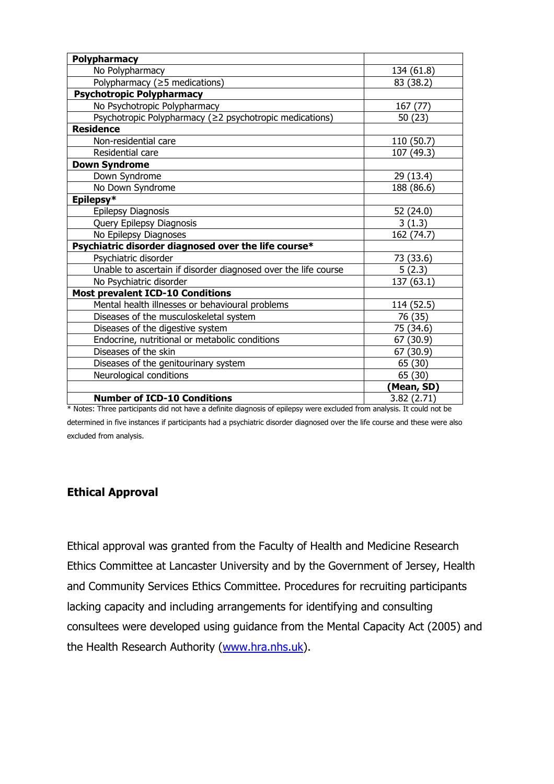| <b>Polypharmacy</b>                                            |            |
|----------------------------------------------------------------|------------|
| No Polypharmacy                                                | 134 (61.8) |
| Polypharmacy (≥5 medications)                                  | 83 (38.2)  |
| <b>Psychotropic Polypharmacy</b>                               |            |
| No Psychotropic Polypharmacy                                   | 167 (77)   |
| Psychotropic Polypharmacy (≥2 psychotropic medications)        | 50(23)     |
| <b>Residence</b>                                               |            |
| Non-residential care                                           | 110 (50.7) |
| Residential care                                               | 107 (49.3) |
| <b>Down Syndrome</b>                                           |            |
| Down Syndrome                                                  | 29 (13.4)  |
| No Down Syndrome                                               | 188 (86.6) |
| Epilepsy*                                                      |            |
| Epilepsy Diagnosis                                             | 52 (24.0)  |
| Query Epilepsy Diagnosis                                       | 3(1.3)     |
| No Epilepsy Diagnoses                                          | 162 (74.7) |
| Psychiatric disorder diagnosed over the life course*           |            |
| Psychiatric disorder                                           | 73 (33.6)  |
| Unable to ascertain if disorder diagnosed over the life course | 5(2.3)     |
| No Psychiatric disorder                                        | 137 (63.1) |
| <b>Most prevalent ICD-10 Conditions</b>                        |            |
| Mental health illnesses or behavioural problems                | 114 (52.5) |
| Diseases of the musculoskeletal system                         | 76 (35)    |
| Diseases of the digestive system                               | 75 (34.6)  |
| Endocrine, nutritional or metabolic conditions                 | 67 (30.9)  |
| Diseases of the skin                                           | 67 (30.9)  |
| Diseases of the genitourinary system                           | 65 (30)    |
| Neurological conditions                                        | 65 (30)    |
|                                                                | (Mean, SD) |
| <b>Number of ICD-10 Conditions</b>                             | 3.82(2.71) |

\* Notes: Three participants did not have a definite diagnosis of epilepsy were excluded from analysis. It could not be determined in five instances if participants had a psychiatric disorder diagnosed over the life course and these were also excluded from analysis.

# **Ethical Approval**

Ethical approval was granted from the Faculty of Health and Medicine Research Ethics Committee at Lancaster University and by the Government of Jersey, Health and Community Services Ethics Committee. Procedures for recruiting participants lacking capacity and including arrangements for identifying and consulting consultees were developed using guidance from the Mental Capacity Act (2005) and the Health Research Authority [\(www.hra.nhs.uk\)](http://www.hra.nhs.uk/).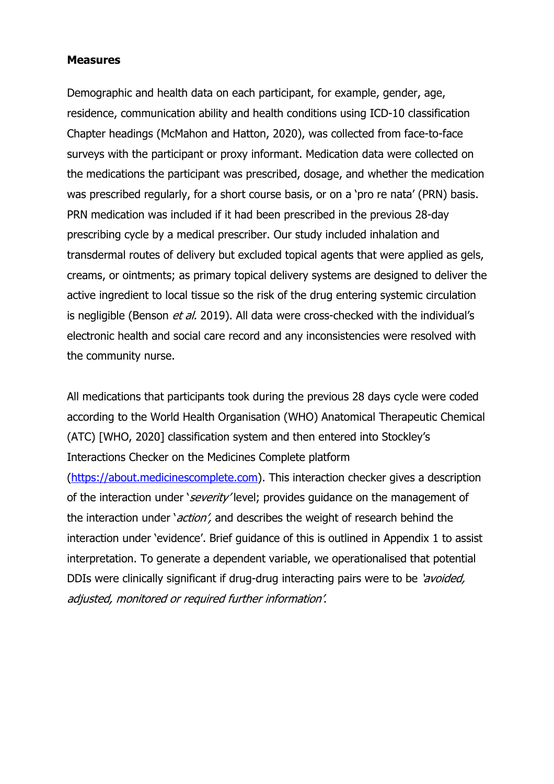#### **Measures**

Demographic and health data on each participant, for example, gender, age, residence, communication ability and health conditions using ICD-10 classification Chapter headings (McMahon and Hatton, 2020), was collected from face-to-face surveys with the participant or proxy informant. Medication data were collected on the medications the participant was prescribed, dosage, and whether the medication was prescribed regularly, for a short course basis, or on a 'pro re nata' (PRN) basis. PRN medication was included if it had been prescribed in the previous 28-day prescribing cycle by a medical prescriber. Our study included inhalation and transdermal routes of delivery but excluded topical agents that were applied as gels, creams, or ointments; as primary topical delivery systems are designed to deliver the active ingredient to local tissue so the risk of the drug entering systemic circulation is negligible (Benson  $et$  al. 2019). All data were cross-checked with the individual's electronic health and social care record and any inconsistencies were resolved with the community nurse.

All medications that participants took during the previous 28 days cycle were coded according to the World Health Organisation (WHO) Anatomical Therapeutic Chemical (ATC) [WHO, 2020] classification system and then entered into Stockley's Interactions Checker on the Medicines Complete platform

[\(https://about.medicinescomplete.com\)](https://about.medicinescomplete.com/). This interaction checker gives a description of the interaction under 'severity' level; provides guidance on the management of the interaction under '*action'*, and describes the weight of research behind the interaction under 'evidence'. Brief guidance of this is outlined in Appendix 1 to assist interpretation. To generate a dependent variable, we operationalised that potential DDIs were clinically significant if drug-drug interacting pairs were to be 'avoided, adjusted, monitored or required further information'.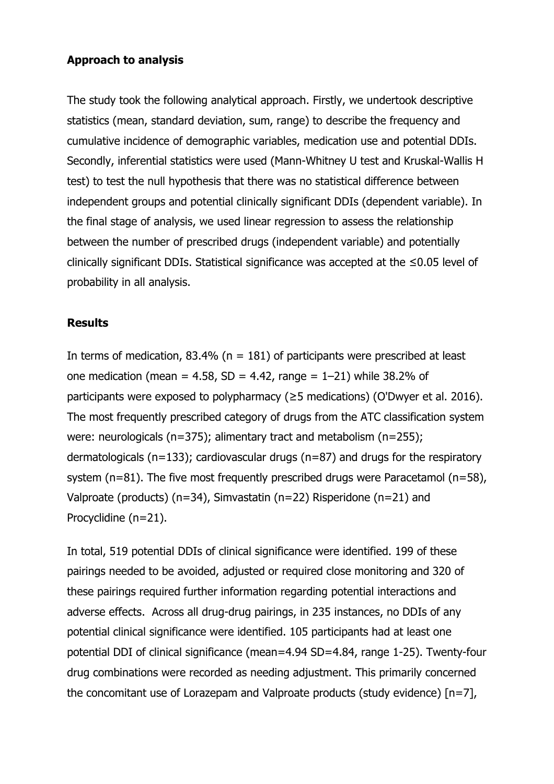# **Approach to analysis**

The study took the following analytical approach. Firstly, we undertook descriptive statistics (mean, standard deviation, sum, range) to describe the frequency and cumulative incidence of demographic variables, medication use and potential DDIs. Secondly, inferential statistics were used (Mann-Whitney U test and Kruskal-Wallis H test) to test the null hypothesis that there was no statistical difference between independent groups and potential clinically significant DDIs (dependent variable). In the final stage of analysis, we used linear regression to assess the relationship between the number of prescribed drugs (independent variable) and potentially clinically significant DDIs. Statistical significance was accepted at the ≤0.05 level of probability in all analysis.

## **Results**

In terms of medication, 83.4% ( $n = 181$ ) of participants were prescribed at least one medication (mean = 4.58, SD = 4.42, range =  $1-21$ ) while 38.2% of participants were exposed to polypharmacy (≥5 medications) [\(O'Dwyer et al. 2016\)](#page-18-3). The most frequently prescribed category of drugs from the ATC classification system were: neurologicals (n=375); alimentary tract and metabolism (n=255); dermatologicals (n=133); cardiovascular drugs (n=87) and drugs for the respiratory system (n=81). The five most frequently prescribed drugs were Paracetamol (n=58), Valproate (products) (n=34), Simvastatin (n=22) Risperidone (n=21) and Procyclidine (n=21).

In total, 519 potential DDIs of clinical significance were identified. 199 of these pairings needed to be avoided, adjusted or required close monitoring and 320 of these pairings required further information regarding potential interactions and adverse effects. Across all drug-drug pairings, in 235 instances, no DDIs of any potential clinical significance were identified. 105 participants had at least one potential DDI of clinical significance (mean=4.94 SD=4.84, range 1-25). Twenty-four drug combinations were recorded as needing adjustment. This primarily concerned the concomitant use of Lorazepam and Valproate products (study evidence) [n=7],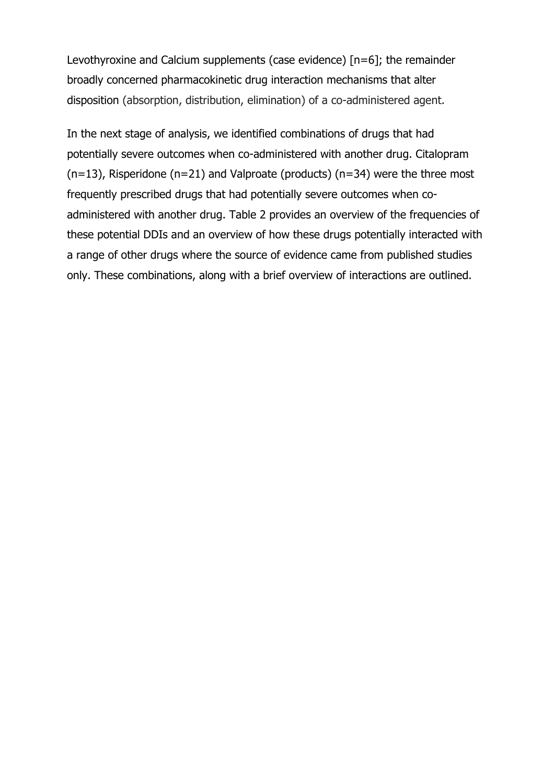Levothyroxine and Calcium supplements (case evidence) [n=6]; the remainder broadly concerned pharmacokinetic drug interaction mechanisms that alter disposition (absorption, distribution, elimination) of a co-administered agent.

In the next stage of analysis, we identified combinations of drugs that had potentially severe outcomes when co-administered with another drug. Citalopram  $(n=13)$ , Risperidone (n=21) and Valproate (products) (n=34) were the three most frequently prescribed drugs that had potentially severe outcomes when coadministered with another drug. Table 2 provides an overview of the frequencies of these potential DDIs and an overview of how these drugs potentially interacted with a range of other drugs where the source of evidence came from published studies only. These combinations, along with a brief overview of interactions are outlined.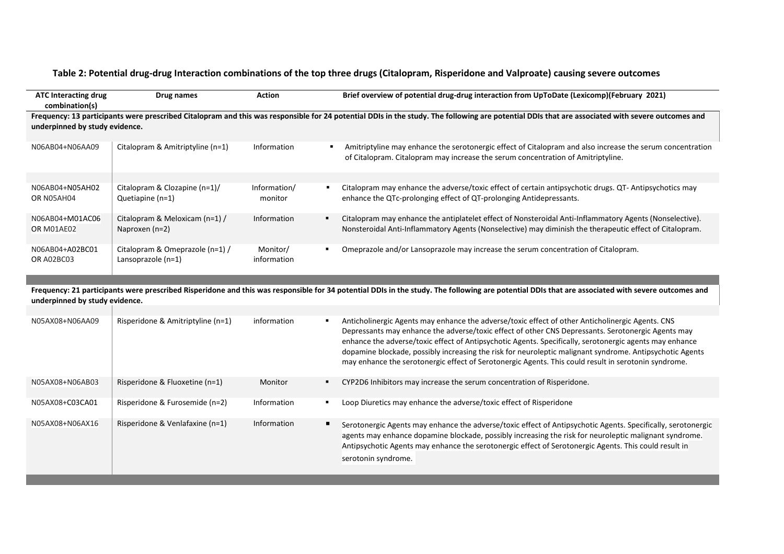#### **Table 2: Potential drug-drug Interaction combinations of the top three drugs (Citalopram, Risperidone and Valproate) causing severe outcomes**

| <b>ATC Interacting drug</b><br>combination(s)                                                                                                                                                                                      | Drug names                                            | Action                                    | Brief overview of potential drug-drug interaction from UpToDate (Lexicomp)(February 2021)                                                                                                                          |  |
|------------------------------------------------------------------------------------------------------------------------------------------------------------------------------------------------------------------------------------|-------------------------------------------------------|-------------------------------------------|--------------------------------------------------------------------------------------------------------------------------------------------------------------------------------------------------------------------|--|
| Frequency: 13 participants were prescribed Citalopram and this was responsible for 24 potential DDIs in the study. The following are potential DDIs that are associated with severe outcomes and<br>underpinned by study evidence. |                                                       |                                           |                                                                                                                                                                                                                    |  |
| N06AB04+N06AA09                                                                                                                                                                                                                    | Citalopram & Amitriptyline (n=1)                      | Information                               | Amitriptyline may enhance the serotonergic effect of Citalopram and also increase the serum concentration<br>of Citalopram. Citalopram may increase the serum concentration of Amitriptyline.                      |  |
| N06AB04+N05AH02<br>OR N05AH04                                                                                                                                                                                                      | Citalopram & Clozapine (n=1)/<br>Quetiapine (n=1)     | Information/<br>$\blacksquare$<br>monitor | Citalopram may enhance the adverse/toxic effect of certain antipsychotic drugs. QT- Antipsychotics may<br>enhance the QTc-prolonging effect of QT-prolonging Antidepressants.                                      |  |
| N06AB04+M01AC06<br>OR M01AE02                                                                                                                                                                                                      | Citalopram & Meloxicam (n=1) /<br>Naproxen $(n=2)$    | Information                               | Citalopram may enhance the antiplatelet effect of Nonsteroidal Anti-Inflammatory Agents (Nonselective).<br>Nonsteroidal Anti-Inflammatory Agents (Nonselective) may diminish the therapeutic effect of Citalopram. |  |
| N06AB04+A02BC01<br>OR A02BC03                                                                                                                                                                                                      | Citalopram & Omeprazole (n=1) /<br>Lansoprazole (n=1) | Monitor/<br>information                   | Omeprazole and/or Lansoprazole may increase the serum concentration of Citalopram.                                                                                                                                 |  |

**Frequency: 21 participants were prescribed Risperidone and this was responsible for 34 potential DDIs in the study. The following are potential DDIs that are associated with severe outcomes and underpinned by study evidence.**

| N05AX08+N06AA09 | Risperidone & Amitriptyline (n=1) | information |    | Anticholinergic Agents may enhance the adverse/toxic effect of other Anticholinergic Agents. CNS<br>Depressants may enhance the adverse/toxic effect of other CNS Depressants. Serotonergic Agents may<br>enhance the adverse/toxic effect of Antipsychotic Agents. Specifically, serotonergic agents may enhance<br>dopamine blockade, possibly increasing the risk for neuroleptic malignant syndrome. Antipsychotic Agents<br>may enhance the serotonergic effect of Serotonergic Agents. This could result in serotonin syndrome. |
|-----------------|-----------------------------------|-------------|----|---------------------------------------------------------------------------------------------------------------------------------------------------------------------------------------------------------------------------------------------------------------------------------------------------------------------------------------------------------------------------------------------------------------------------------------------------------------------------------------------------------------------------------------|
| N05AX08+N06AB03 | Risperidone & Fluoxetine (n=1)    | Monitor     |    | CYP2D6 Inhibitors may increase the serum concentration of Risperidone.                                                                                                                                                                                                                                                                                                                                                                                                                                                                |
| N05AX08+C03CA01 | Risperidone & Furosemide (n=2)    | Information | л. | Loop Diuretics may enhance the adverse/toxic effect of Risperidone                                                                                                                                                                                                                                                                                                                                                                                                                                                                    |
| N05AX08+N06AX16 | Risperidone & Venlafaxine (n=1)   | Information | п. | Serotonergic Agents may enhance the adverse/toxic effect of Antipsychotic Agents. Specifically, serotonergic<br>agents may enhance dopamine blockade, possibly increasing the risk for neuroleptic malignant syndrome.<br>Antipsychotic Agents may enhance the serotonergic effect of Serotonergic Agents. This could result in<br>serotonin syndrome.                                                                                                                                                                                |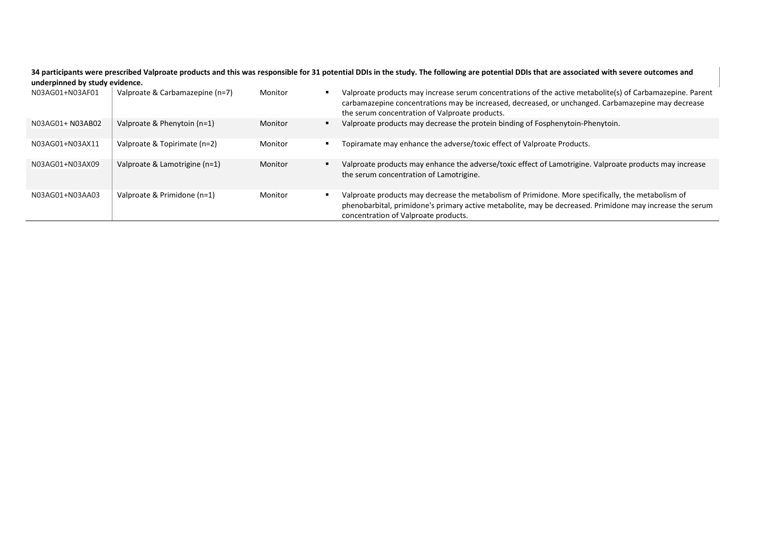**34 participants were prescribed Valproate products and this was responsible for 31 potential DDIs in the study. The following are potential DDIs that are associated with severe outcomes and underpinned by study evidence.**

| N03AG01+N03AF01  | Valproate & Carbamazepine (n=7) | Monitor | Valproate products may increase serum concentrations of the active metabolite(s) of Carbamazepine. Parent<br>carbamazepine concentrations may be increased, decreased, or unchanged. Carbamazepine may decrease<br>the serum concentration of Valproate products. |
|------------------|---------------------------------|---------|-------------------------------------------------------------------------------------------------------------------------------------------------------------------------------------------------------------------------------------------------------------------|
| N03AG01+ N03AB02 | Valproate & Phenytoin (n=1)     | Monitor | Valproate products may decrease the protein binding of Fosphenytoin-Phenytoin.                                                                                                                                                                                    |
| N03AG01+N03AX11  | Valproate & Topirimate (n=2)    | Monitor | Topiramate may enhance the adverse/toxic effect of Valproate Products.                                                                                                                                                                                            |
| N03AG01+N03AX09  | Valproate & Lamotrigine (n=1)   | Monitor | Valproate products may enhance the adverse/toxic effect of Lamotrigine. Valproate products may increase<br>the serum concentration of Lamotrigine.                                                                                                                |
| N03AG01+N03AA03  | Valproate & Primidone (n=1)     | Monitor | Valproate products may decrease the metabolism of Primidone. More specifically, the metabolism of<br>phenobarbital, primidone's primary active metabolite, may be decreased. Primidone may increase the serum<br>concentration of Valproate products.             |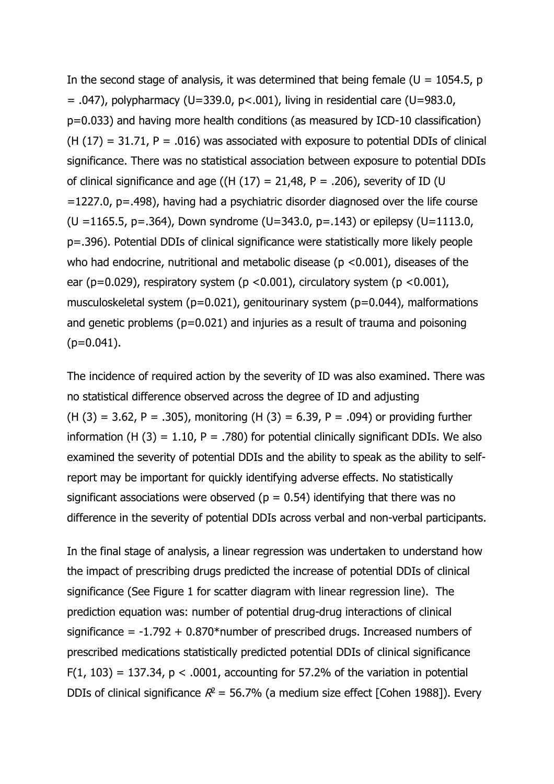In the second stage of analysis, it was determined that being female ( $U = 1054.5$ , p  $= .047$ ), polypharmacy (U=339.0, p<.001), living in residential care (U=983.0, p=0.033) and having more health conditions (as measured by ICD-10 classification)  $(H (17) = 31.71, P = .016)$  was associated with exposure to potential DDIs of clinical significance. There was no statistical association between exposure to potential DDIs of clinical significance and age ((H  $(17) = 21,48$ , P = .206), severity of ID (U =1227.0, p=.498), having had a psychiatric disorder diagnosed over the life course (U =1165.5, p=.364), Down syndrome (U=343.0, p=.143) or epilepsy (U=1113.0, p=.396). Potential DDIs of clinical significance were statistically more likely people who had endocrine, nutritional and metabolic disease ( $p$  <0.001), diseases of the ear (p=0.029), respiratory system (p <0.001), circulatory system (p <0.001), musculoskeletal system (p=0.021), genitourinary system (p=0.044), malformations and genetic problems (p=0.021) and injuries as a result of trauma and poisoning  $(p=0.041)$ .

The incidence of required action by the severity of ID was also examined. There was no statistical difference observed across the degree of ID and adjusting  $(H (3) = 3.62, P = .305)$ , monitoring  $(H (3) = 6.39, P = .094)$  or providing further information (H  $(3) = 1.10$ , P = .780) for potential clinically significant DDIs. We also examined the severity of potential DDIs and the ability to speak as the ability to selfreport may be important for quickly identifying adverse effects. No statistically significant associations were observed ( $p = 0.54$ ) identifying that there was no difference in the severity of potential DDIs across verbal and non-verbal participants.

In the final stage of analysis, a linear regression was undertaken to understand how the impact of prescribing drugs predicted the increase of potential DDIs of clinical significance (See Figure 1 for scatter diagram with linear regression line). The prediction equation was: number of potential drug-drug interactions of clinical significance =  $-1.792 + 0.870*$ number of prescribed drugs. Increased numbers of prescribed medications statistically predicted potential DDIs of clinical significance  $F(1, 103) = 137.34$ ,  $p < .0001$ , accounting for 57.2% of the variation in potential DDIs of clinical significance  $R^2$  = 56.7% (a medium size effect [Cohen 1988]). Every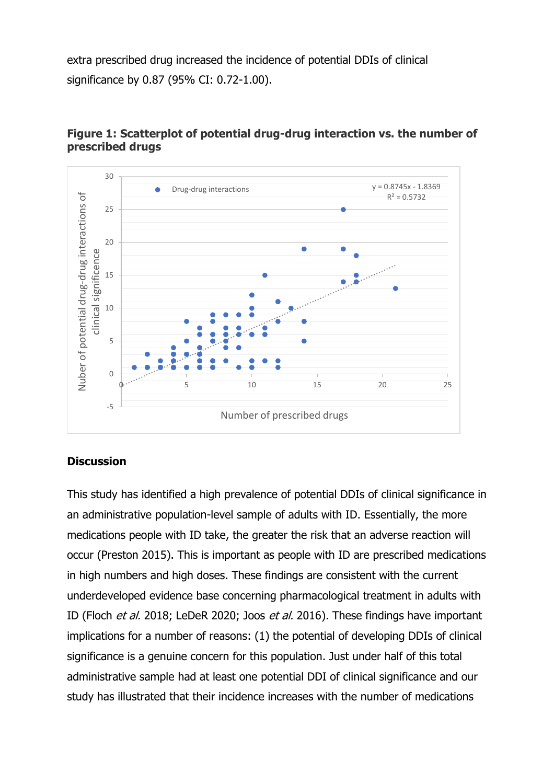extra prescribed drug increased the incidence of potential DDIs of clinical significance by 0.87 (95% CI: 0.72-1.00).



# **Figure 1: Scatterplot of potential drug-drug interaction vs. the number of prescribed drugs**

# **Discussion**

This study has identified a high prevalence of potential DDIs of clinical significance in an administrative population-level sample of adults with ID. Essentially, the more medications people with ID take, the greater the risk that an adverse reaction will occur [\(Preston](#page-16-1) 2015). This is important as people with ID are prescribed medications in high numbers and high doses. These findings are consistent with the current underdeveloped evidence base concerning pharmacological treatment in adults with ID (Floch *et al.* 2018; LeDeR 2020; Joos *et al.* 2016). These findings have important implications for a number of reasons: (1) the potential of developing DDIs of clinical significance is a genuine concern for this population. Just under half of this total administrative sample had at least one potential DDI of clinical significance and our study has illustrated that their incidence increases with the number of medications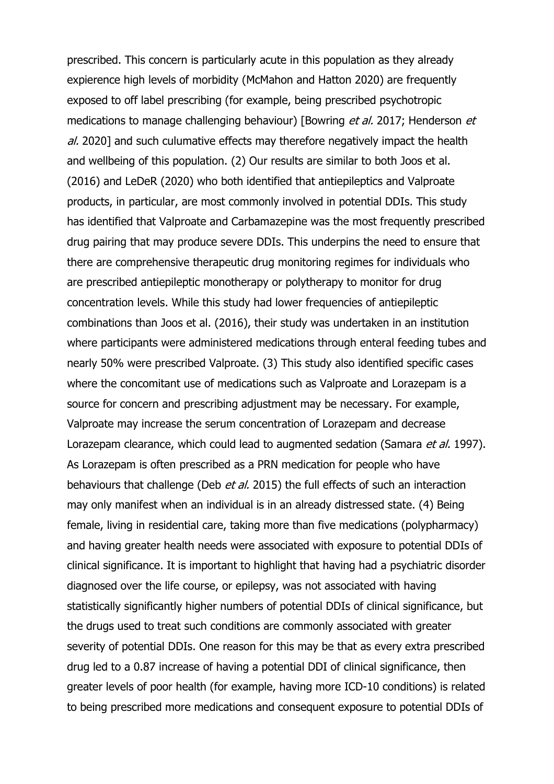prescribed. This concern is particularly acute in this population as they already expierence high levels of morbidity (McMahon and Hatton 2020) are frequently exposed to off label prescribing (for example, being prescribed psychotropic medications to manage challenging behaviour) [Bowring et al. 2017; Henderson et al. 2020] and such culumative effects may therefore negatively impact the health and wellbeing of this population. (2) Our results are similar to both Joos et al. (2016) and LeDeR (2020) who both identified that antiepileptics and Valproate products, in particular, are most commonly involved in potential DDIs. This study has identified that Valproate and Carbamazepine was the most frequently prescribed drug pairing that may produce severe DDIs. This underpins the need to ensure that there are comprehensive therapeutic drug monitoring regimes for individuals who are prescribed antiepileptic monotherapy or polytherapy to monitor for drug concentration levels. While this study had lower frequencies of antiepileptic combinations than Joos et al. (2016), their study was undertaken in an institution where participants were administered medications through enteral feeding tubes and nearly 50% were prescribed Valproate. (3) This study also identified specific cases where the concomitant use of medications such as Valproate and Lorazepam is a source for concern and prescribing adjustment may be necessary. For example, Valproate may increase the serum concentration of Lorazepam and decrease Lorazepam clearance, which could lead to augmented sedation (Samara et al. 1997). As Lorazepam is often prescribed as a PRN medication for people who have behaviours that challenge (Deb et al. [2015\)](#page-16-7) the full effects of such an interaction may only manifest when an individual is in an already distressed state. (4) Being female, living in residential care, taking more than five medications (polypharmacy) and having greater health needs were associated with exposure to potential DDIs of clinical significance. It is important to highlight that having had a psychiatric disorder diagnosed over the life course, or epilepsy, was not associated with having statistically significantly higher numbers of potential DDIs of clinical significance, but the drugs used to treat such conditions are commonly associated with greater severity of potential DDIs. One reason for this may be that as every extra prescribed drug led to a 0.87 increase of having a potential DDI of clinical significance, then greater levels of poor health (for example, having more ICD-10 conditions) is related to being prescribed more medications and consequent exposure to potential DDIs of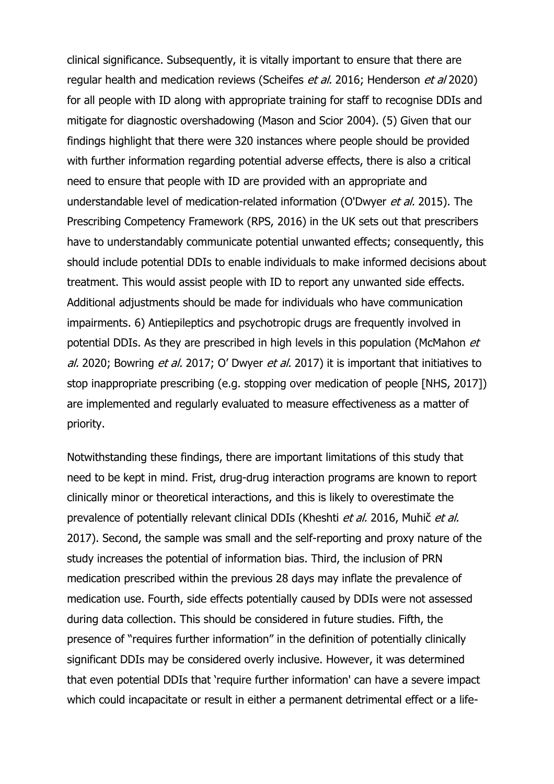clinical significance. Subsequently, it is vitally important to ensure that there are regular health and medication reviews (Scheifes et al. 2016; Henderson et al 2020) for all people with ID along with appropriate training for staff to recognise DDIs and mitigate for diagnostic overshadowing [\(Mason and Scior 2004\)](#page-17-8). (5) Given that our findings highlight that there were 320 instances where people should be provided with further information regarding potential adverse effects, there is also a critical need to ensure that people with ID are provided with an appropriate and understandable level of medication-related information [\(O'Dwyer](#page-18-9) et al. 2015). The Prescribing Competency Framework (RPS, 2016) in the UK sets out that prescribers have to understandably communicate potential unwanted effects; consequently, this should include potential DDIs to enable individuals to make informed decisions about treatment. This would assist people with ID to report any unwanted side effects. Additional adjustments should be made for individuals who have communication impairments. 6) Antiepileptics and psychotropic drugs are frequently involved in potential DDIs. As they are prescribed in high levels in this population (McMahon et al. 2020; Bowring et al. 2017; O' Dwyer et al. 2017) it is important that initiatives to stop inappropriate prescribing (e.g. stopping over medication of people [NHS, 2017]) are implemented and regularly evaluated to measure effectiveness as a matter of priority.

Notwithstanding these findings, there are important limitations of this study that need to be kept in mind. Frist, drug-drug interaction programs are known to report clinically minor or theoretical interactions, and this is likely to overestimate the prevalence of potentially relevant clinical DDIs [\(Kheshti](#page-17-9) et al. 2016, Muhič et al. 2017). Second, the sample was small and the self-reporting and proxy nature of the study increases the potential of information bias. Third, the inclusion of PRN medication prescribed within the previous 28 days may inflate the prevalence of medication use. Fourth, side effects potentially caused by DDIs were not assessed during data collection. This should be considered in future studies. Fifth, the presence of "requires further information" in the definition of potentially clinically significant DDIs may be considered overly inclusive. However, it was determined that even potential DDIs that 'require further information' can have a severe impact which could incapacitate or result in either a permanent detrimental effect or a life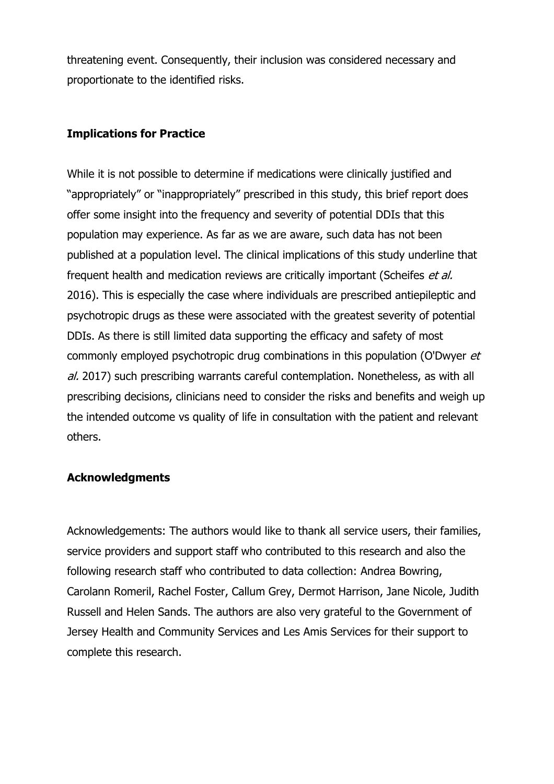threatening event. Consequently, their inclusion was considered necessary and proportionate to the identified risks.

# **Implications for Practice**

While it is not possible to determine if medications were clinically justified and "appropriately" or "inappropriately" prescribed in this study, this brief report does offer some insight into the frequency and severity of potential DDIs that this population may experience. As far as we are aware, such data has not been published at a population level. The clinical implications of this study underline that frequent health and medication reviews are critically important [\(Scheifes](#page-18-10) et al. [2016\)](#page-18-10). This is especially the case where individuals are prescribed antiepileptic and psychotropic drugs as these were associated with the greatest severity of potential DDIs. As there is still limited data supporting the efficacy and safety of most commonly employed psychotropic drug combinations in this population (O'Dwyer et al. 2017) such prescribing warrants careful contemplation. Nonetheless, as with all prescribing decisions, clinicians need to consider the risks and benefits and weigh up the intended outcome vs quality of life in consultation with the patient and relevant others.

#### **Acknowledgments**

Acknowledgements: The authors would like to thank all service users, their families, service providers and support staff who contributed to this research and also the following research staff who contributed to data collection: Andrea Bowring, Carolann Romeril, Rachel Foster, Callum Grey, Dermot Harrison, Jane Nicole, Judith Russell and Helen Sands. The authors are also very grateful to the Government of Jersey Health and Community Services and Les Amis Services for their support to complete this research.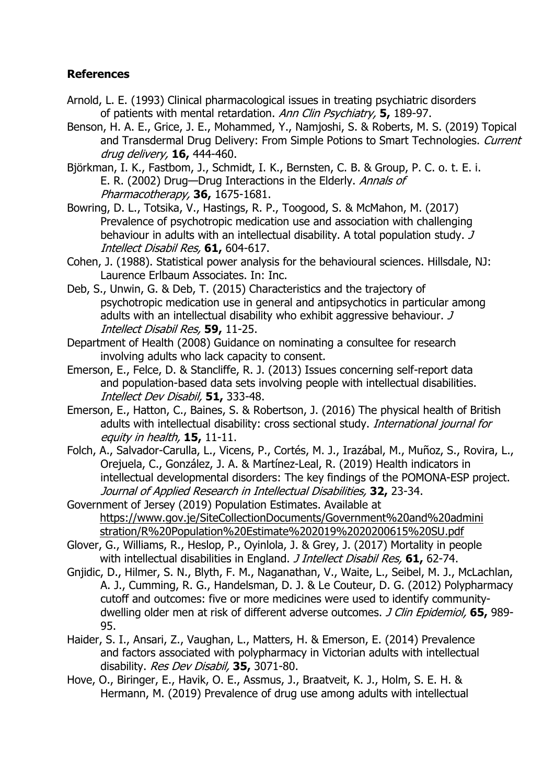# **References**

- <span id="page-16-2"></span>Arnold, L. E. (1993) Clinical pharmacological issues in treating psychiatric disorders of patients with mental retardation. Ann Clin Psychiatry, **5,** 189-97.
- Benson, H. A. E., Grice, J. E., Mohammed, Y., Namjoshi, S. & Roberts, M. S. (2019) Topical and Transdermal Drug Delivery: From Simple Potions to Smart Technologies. Current drug delivery, **16,** 444-460.
- <span id="page-16-6"></span>Björkman, I. K., Fastbom, J., Schmidt, I. K., Bernsten, C. B. & Group, P. C. o. t. E. i. E. R. (2002) Drug—Drug Interactions in the Elderly. Annals of Pharmacotherapy, **36,** 1675-1681.
- <span id="page-16-4"></span>Bowring, D. L., Totsika, V., Hastings, R. P., Toogood, S. & McMahon, M. (2017) Prevalence of psychotropic medication use and association with challenging behaviour in adults with an intellectual disability. A total population study. J Intellect Disabil Res, **61,** 604-617.
- <span id="page-16-7"></span>Cohen, J. (1988). Statistical power analysis for the behavioural sciences. Hillsdale, NJ: Laurence Erlbaum Associates. In: Inc.
- Deb, S., Unwin, G. & Deb, T. (2015) Characteristics and the trajectory of psychotropic medication use in general and antipsychotics in particular among adults with an intellectual disability who exhibit aggressive behaviour. J Intellect Disabil Res, **59,** 11-25.
- Department of Health (2008) Guidance on nominating a consultee for research involving adults who lack capacity to consent.
- Emerson, E., Felce, D. & Stancliffe, R. J. (2013) Issues concerning self-report data and population-based data sets involving people with intellectual disabilities. Intellect Dev Disabil, **51,** 333-48.
- <span id="page-16-1"></span>Emerson, E., Hatton, C., Baines, S. & Robertson, J. (2016) The physical health of British adults with intellectual disability: cross sectional study. International journal for equity in health, **15,** 11-11.
- Folch, A., Salvador-Carulla, L., Vicens, P., Cortés, M. J., Irazábal, M., Muñoz, S., Rovira, L., Orejuela, C., González, J. A. & Martínez-Leal, R. (2019) Health indicators in intellectual developmental disorders: The key findings of the POMONA-ESP project. Journal of Applied Research in Intellectual Disabilities, **32,** 23-34.
- <span id="page-16-0"></span>Government of Jersey (2019) Population Estimates. Available at [https://www.gov.je/SiteCollectionDocuments/Government%20and%20admini](https://www.gov.je/SiteCollectionDocuments/Government%20and%20administration/R%20Population%20Estimate%202019%2020200615%20SU.pdf) [stration/R%20Population%20Estimate%202019%2020200615%20SU.pdf](https://www.gov.je/SiteCollectionDocuments/Government%20and%20administration/R%20Population%20Estimate%202019%2020200615%20SU.pdf)
- Glover, G., Williams, R., Heslop, P., Oyinlola, J. & Grey, J. (2017) Mortality in people with intellectual disabilities in England. J Intellect Disabil Res, **61,** 62-74.
- <span id="page-16-5"></span>Gnjidic, D., Hilmer, S. N., Blyth, F. M., Naganathan, V., Waite, L., Seibel, M. J., McLachlan, A. J., Cumming, R. G., Handelsman, D. J. & Le Couteur, D. G. (2012) Polypharmacy cutoff and outcomes: five or more medicines were used to identify communitydwelling older men at risk of different adverse outcomes. J Clin Epidemiol, **65,** 989- 95.
- Haider, S. I., Ansari, Z., Vaughan, L., Matters, H. & Emerson, E. (2014) Prevalence and factors associated with polypharmacy in Victorian adults with intellectual disability. Res Dev Disabil, **35,** 3071-80.
- <span id="page-16-3"></span>Hove, O., Biringer, E., Havik, O. E., Assmus, J., Braatveit, K. J., Holm, S. E. H. & Hermann, M. (2019) Prevalence of drug use among adults with intellectual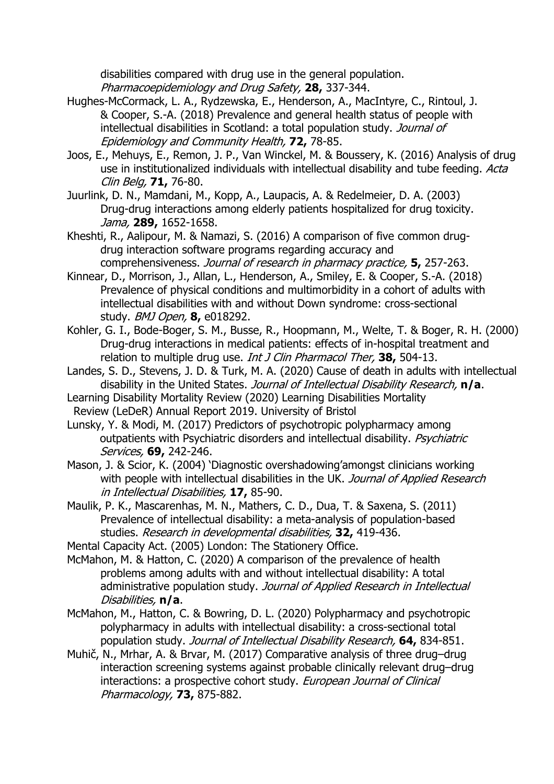disabilities compared with drug use in the general population. Pharmacoepidemiology and Drug Safety, **28,** 337-344.

- <span id="page-17-0"></span>Hughes-McCormack, L. A., Rydzewska, E., Henderson, A., MacIntyre, C., Rintoul, J. & Cooper, S.-A. (2018) Prevalence and general health status of people with intellectual disabilities in Scotland: a total population study. Journal of Epidemiology and Community Health, **72,** 78-85.
- Joos, E., Mehuys, E., Remon, J. P., Van Winckel, M. & Boussery, K. (2016) Analysis of drug use in institutionalized individuals with intellectual disability and tube feeding. Acta Clin Belg, **71,** 76-80.
- <span id="page-17-6"></span>Juurlink, D. N., Mamdani, M., Kopp, A., Laupacis, A. & Redelmeier, D. A. (2003) Drug-drug interactions among elderly patients hospitalized for drug toxicity. Jama, **289,** 1652-1658.
- <span id="page-17-9"></span>Kheshti, R., Aalipour, M. & Namazi, S. (2016) A comparison of five common drugdrug interaction software programs regarding accuracy and comprehensiveness. Journal of research in pharmacy practice, **5,** 257-263.
- <span id="page-17-1"></span>Kinnear, D., Morrison, J., Allan, L., Henderson, A., Smiley, E. & Cooper, S.-A. (2018) Prevalence of physical conditions and multimorbidity in a cohort of adults with intellectual disabilities with and without Down syndrome: cross-sectional study. BMJ Open, **8,** e018292.
- <span id="page-17-3"></span>Kohler, G. I., Bode-Boger, S. M., Busse, R., Hoopmann, M., Welte, T. & Boger, R. H. (2000) Drug-drug interactions in medical patients: effects of in-hospital treatment and relation to multiple drug use. Int J Clin Pharmacol Ther, **38,** 504-13.
- Landes, S. D., Stevens, J. D. & Turk, M. A. (2020) Cause of death in adults with intellectual disability in the United States. Journal of Intellectual Disability Research, **n/a**.
- Learning Disability Mortality Review (2020) Learning Disabilities Mortality Review (LeDeR) Annual Report 2019. University of Bristol
- <span id="page-17-5"></span>Lunsky, Y. & Modi, M. (2017) Predictors of psychotropic polypharmacy among outpatients with Psychiatric disorders and intellectual disability. Psychiatric Services, **69,** 242-246.
- <span id="page-17-8"></span>Mason, J. & Scior, K. (2004) 'Diagnostic overshadowing'amongst clinicians working with people with intellectual disabilities in the UK. Journal of Applied Research in Intellectual Disabilities, **17,** 85-90.
- <span id="page-17-7"></span>Maulik, P. K., Mascarenhas, M. N., Mathers, C. D., Dua, T. & Saxena, S. (2011) Prevalence of intellectual disability: a meta-analysis of population-based studies. Research in developmental disabilities, **32,** 419-436.
- <span id="page-17-2"></span>Mental Capacity Act. (2005) London: The Stationery Office.
- McMahon, M. & Hatton, C. (2020) A comparison of the prevalence of health problems among adults with and without intellectual disability: A total administrative population study. Journal of Applied Research in Intellectual Disabilities, **n/a**.
- <span id="page-17-4"></span>McMahon, M., Hatton, C. & Bowring, D. L. (2020) Polypharmacy and psychotropic polypharmacy in adults with intellectual disability: a cross-sectional total population study. Journal of Intellectual Disability Research, **64,** 834-851.
- Muhič, N., Mrhar, A. & Brvar, M. (2017) Comparative analysis of three drug–drug interaction screening systems against probable clinically relevant drug–drug interactions: a prospective cohort study. European Journal of Clinical Pharmacology, **73,** 875-882.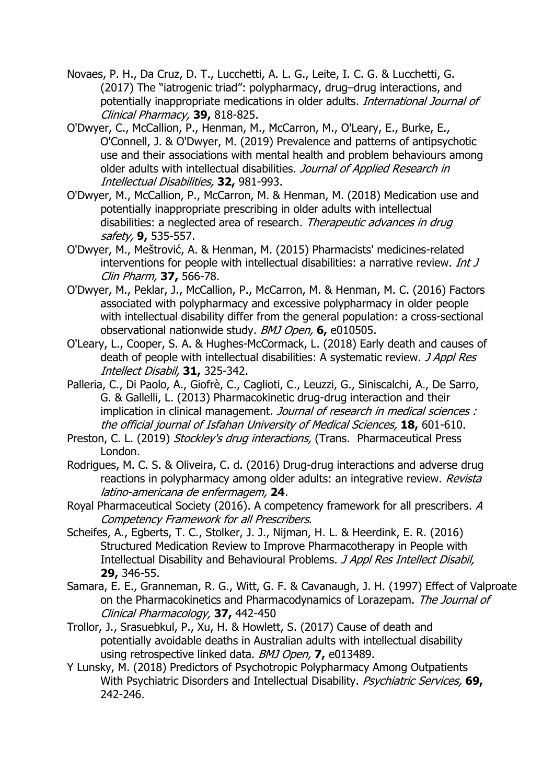- <span id="page-18-7"></span>Novaes, P. H., Da Cruz, D. T., Lucchetti, A. L. G., Leite, I. C. G. & Lucchetti, G. (2017) The "iatrogenic triad": polypharmacy, drug–drug interactions, and potentially inappropriate medications in older adults. International Journal of Clinical Pharmacy, **39,** 818-825.
- <span id="page-18-2"></span>O'Dwyer, C., McCallion, P., Henman, M., McCarron, M., O'Leary, E., Burke, E., O'Connell, J. & O'Dwyer, M. (2019) Prevalence and patterns of antipsychotic use and their associations with mental health and problem behaviours among older adults with intellectual disabilities. Journal of Applied Research in Intellectual Disabilities, **32,** 981-993.
- <span id="page-18-4"></span>O'Dwyer, M., McCallion, P., McCarron, M. & Henman, M. (2018) Medication use and potentially inappropriate prescribing in older adults with intellectual disabilities: a neglected area of research. Therapeutic advances in drug safety, **9,** 535-557.
- <span id="page-18-9"></span>O'Dwyer, M., Meštrović, A. & Henman, M. (2015) Pharmacists' medicines-related interventions for people with intellectual disabilities: a narrative review. *Int J* Clin Pharm, **37,** 566-78.
- <span id="page-18-3"></span>O'Dwyer, M., Peklar, J., McCallion, P., McCarron, M. & Henman, M. C. (2016) Factors associated with polypharmacy and excessive polypharmacy in older people with intellectual disability differ from the general population: a cross-sectional observational nationwide study. BMJ Open, **6,** e010505.
- <span id="page-18-0"></span>O'Leary, L., Cooper, S. A. & Hughes-McCormack, L. (2018) Early death and causes of death of people with intellectual disabilities: A systematic review. J Appl Res Intellect Disabil, **31,** 325-342.
- <span id="page-18-6"></span>Palleria, C., Di Paolo, A., Giofrè, C., Caglioti, C., Leuzzi, G., Siniscalchi, A., De Sarro, G. & Gallelli, L. (2013) Pharmacokinetic drug-drug interaction and their implication in clinical management. Journal of research in medical sciences : the official journal of Isfahan University of Medical Sciences, **18,** 601-610.
- <span id="page-18-5"></span>Preston, C. L. (2019) Stockley's drug interactions, (Trans. Pharmaceutical Press London.
- <span id="page-18-8"></span>Rodrigues, M. C. S. & Oliveira, C. d. (2016) Drug-drug interactions and adverse drug reactions in polypharmacy among older adults: an integrative review. Revista latino-americana de enfermagem, **24**.
- <span id="page-18-10"></span>Royal Pharmaceutical Society (2016). A competency framework for all prescribers. A Competency Framework for all Prescribers.
- Scheifes, A., Egberts, T. C., Stolker, J. J., Nijman, H. L. & Heerdink, E. R. (2016) Structured Medication Review to Improve Pharmacotherapy in People with Intellectual Disability and Behavioural Problems. J Appl Res Intellect Disabil, **29,** 346-55.
- <span id="page-18-1"></span>Samara, E. E., Granneman, R. G., Witt, G. F. & Cavanaugh, J. H. (1997) Effect of Valproate on the Pharmacokinetics and Pharmacodynamics of Lorazepam. The Journal of Clinical Pharmacology, **37,** 442-450
- Trollor, J., Srasuebkul, P., Xu, H. & Howlett, S. (2017) Cause of death and potentially avoidable deaths in Australian adults with intellectual disability using retrospective linked data. BMJ Open, **7,** e013489.
- Y Lunsky, M. (2018) Predictors of Psychotropic Polypharmacy Among Outpatients With Psychiatric Disorders and Intellectual Disability. Psychiatric Services, **69,** 242-246.